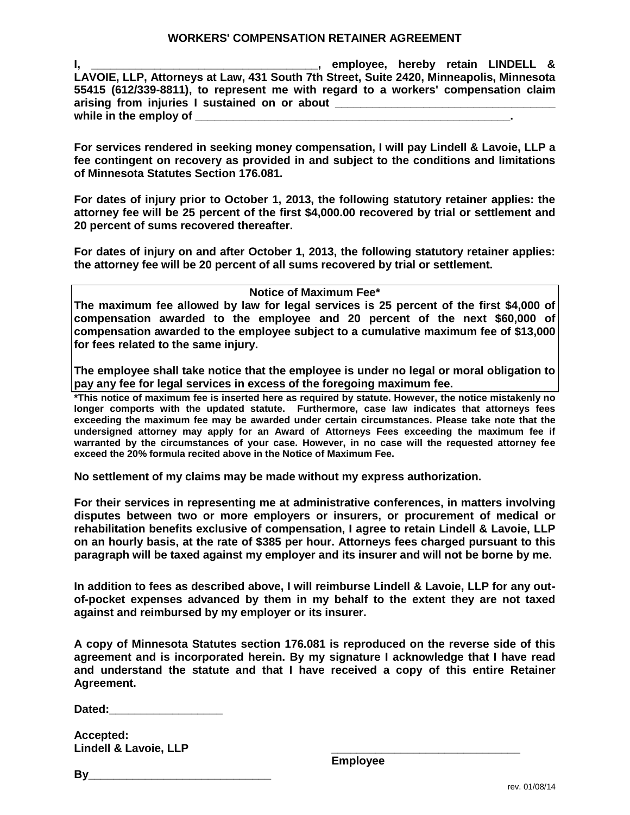**I, \_\_\_\_\_\_\_\_\_\_\_\_\_\_\_\_\_\_\_\_\_\_\_\_\_\_\_\_\_\_\_\_\_\_\_\_, employee, hereby retain LINDELL & LAVOIE, LLP, Attorneys at Law, 431 South 7th Street, Suite 2420, Minneapolis, Minnesota 55415 (612/339-8811), to represent me with regard to a workers' compensation claim**  arising from injuries I sustained on or about while in the employ of

**For services rendered in seeking money compensation, I will pay Lindell & Lavoie, LLP a fee contingent on recovery as provided in and subject to the conditions and limitations of Minnesota Statutes Section 176.081.**

**For dates of injury prior to October 1, 2013, the following statutory retainer applies: the attorney fee will be 25 percent of the first \$4,000.00 recovered by trial or settlement and 20 percent of sums recovered thereafter.** 

**For dates of injury on and after October 1, 2013, the following statutory retainer applies: the attorney fee will be 20 percent of all sums recovered by trial or settlement.** 

**Notice of Maximum Fee\***

**The maximum fee allowed by law for legal services is 25 percent of the first \$4,000 of compensation awarded to the employee and 20 percent of the next \$60,000 of compensation awarded to the employee subject to a cumulative maximum fee of \$13,000 for fees related to the same injury.**

**The employee shall take notice that the employee is under no legal or moral obligation to pay any fee for legal services in excess of the foregoing maximum fee.**

**\*This notice of maximum fee is inserted here as required by statute. However, the notice mistakenly no longer comports with the updated statute. Furthermore, case law indicates that attorneys fees exceeding the maximum fee may be awarded under certain circumstances. Please take note that the undersigned attorney may apply for an Award of Attorneys Fees exceeding the maximum fee if warranted by the circumstances of your case. However, in no case will the requested attorney fee exceed the 20% formula recited above in the Notice of Maximum Fee.**

**No settlement of my claims may be made without my express authorization.**

**For their services in representing me at administrative conferences, in matters involving disputes between two or more employers or insurers, or procurement of medical or rehabilitation benefits exclusive of compensation, I agree to retain Lindell & Lavoie, LLP on an hourly basis, at the rate of \$385 per hour. Attorneys fees charged pursuant to this paragraph will be taxed against my employer and its insurer and will not be borne by me.**

**In addition to fees as described above, I will reimburse Lindell & Lavoie, LLP for any outof-pocket expenses advanced by them in my behalf to the extent they are not taxed against and reimbursed by my employer or its insurer.**

**A copy of Minnesota Statutes section 176.081 is reproduced on the reverse side of this agreement and is incorporated herein. By my signature I acknowledge that I have read and understand the statute and that I have received a copy of this entire Retainer Agreement.**

**Dated:** 

**Accepted: Lindell & Lavoie, LLP**

**\_\_\_\_\_\_\_\_\_\_\_\_\_\_\_\_\_\_\_\_\_\_\_\_\_\_\_\_\_\_ Employee**

**By\_\_\_\_\_\_\_\_\_\_\_\_\_\_\_\_\_\_\_\_\_\_\_\_\_\_\_\_\_**